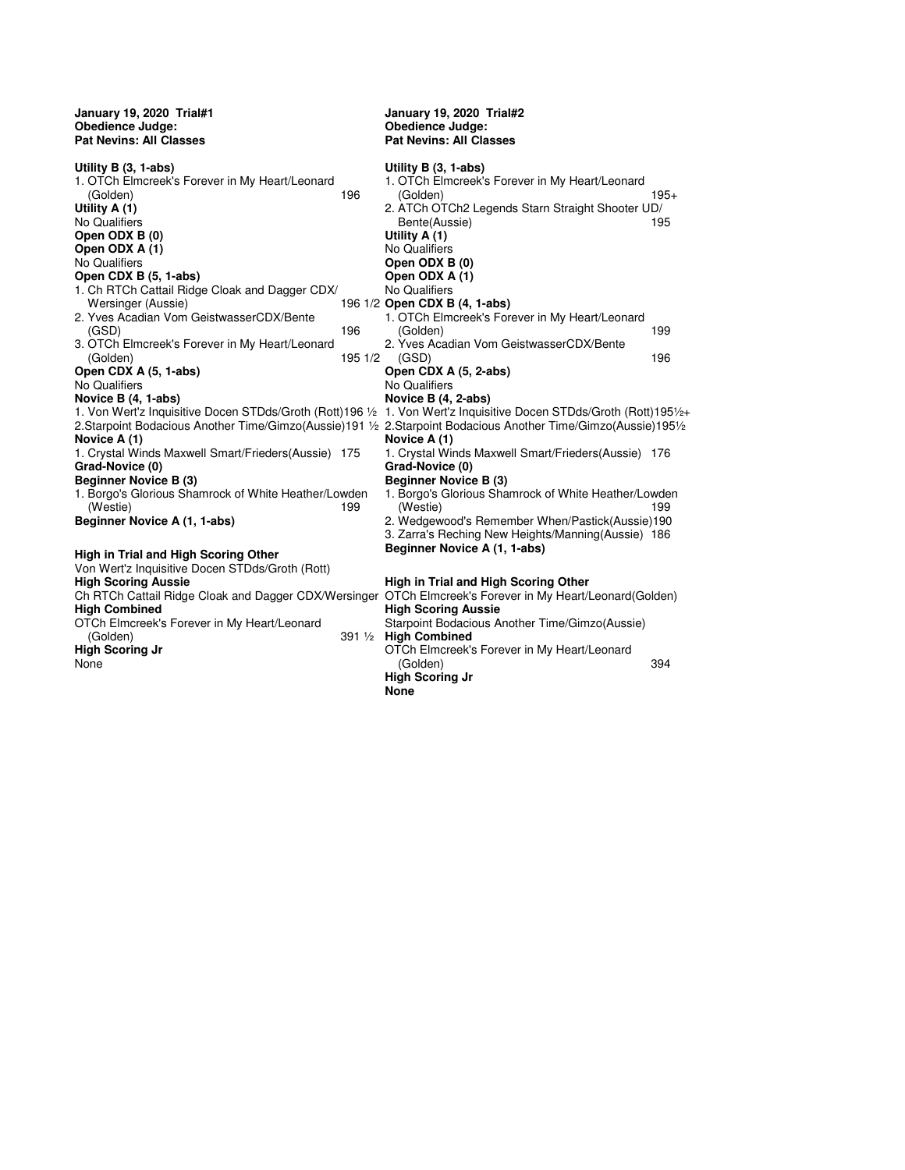**January 19, 2020 Trial#1 Obedience Judge: Pat Nevins: All Classes Utility B (3, 1-abs)** 1. OTCh Elmcreek's Forever in My Heart/Leonard (Golden) 196 **Utility A (1)** No Qualifiers **Open ODX B (0) Open ODX A (1)** No Qualifiers **Open CDX B (5, 1-abs)** 1. Ch RTCh Cattail Ridge Cloak and Dagger CDX/ Wersinger (Aussie) 2. Yves Acadian Vom GeistwasserCDX/Bente (GSD) 196 3. OTCh Elmcreek's Forever in My Heart/Leonard (Golden) 195 1/2 **Open CDX A (5, 1-abs)**  No Qualifiers **Novice B (4, 1-abs)** 1. Von Wert'z Inquisitive Docen STDds/Groth (Rott)196 ½ 2.Starpoint Bodacious Another Time/Gimzo(Aussie)191 ½ 2.Starpoint Bodacious Another Time/Gimzo(Aussie)195½ **Novice A (1)** 1. Crystal Winds Maxwell Smart/Frieders(Aussie) 175 **Grad-Novice (0) Beginner Novice B (3)** 1. Borgo's Glorious Shamrock of White Heather/Lowden (Westie) 199 **Beginner Novice A (1, 1-abs) High in Trial and High Scoring Other**  Von Wert'z Inquisitive Docen STDds/Groth (Rott) **High Scoring Aussie** Ch RTCh Cattail Ridge Cloak and Dagger CDX/Wersinger **High Combined** OTCh Elmcreek's Forever in My Heart/Leonard (Golden) 391 ½ **January 19, 2020 Trial#2 Obedience Judge: Pat Nevins: All Classes Utility B (3, 1-abs)**

**High Scoring Jr**

None

1. OTCh Elmcreek's Forever in My Heart/Leonard (Golden) 195+ 2. ATCh OTCh2 Legends Starn Straight Shooter UD/ Bente(Aussie) **Utility A (1)** No Qualifiers **Open ODX B (0) Open ODX A (1)** No Qualifiers **Open CDX B (4, 1-abs)** 1. OTCh Elmcreek's Forever in My Heart/Leonard (Golden) 199 2. Yves Acadian Vom GeistwasserCDX/Bente (GSD) 196 **Open CDX A (5, 2-abs)**  No Qualifiers **Novice B (4, 2-abs)** 1. Von Wert'z Inquisitive Docen STDds/Groth (Rott)195½+ **Novice A (1)** 1. Crystal Winds Maxwell Smart/Frieders(Aussie) 176 **Grad-Novice (0) Beginner Novice B (3)** 1. Borgo's Glorious Shamrock of White Heather/Lowden (Westie) 199 2. Wedgewood's Remember When/Pastick(Aussie)190 3. Zarra's Reching New Heights/Manning(Aussie) 186 **Beginner Novice A (1, 1-abs) High in Trial and High Scoring Other**  OTCh Elmcreek's Forever in My Heart/Leonard(Golden) **High Scoring Aussie** Starpoint Bodacious Another Time/Gimzo(Aussie) **High Combined** OTCh Elmcreek's Forever in My Heart/Leonard (Golden) 394 **High Scoring Jr None**